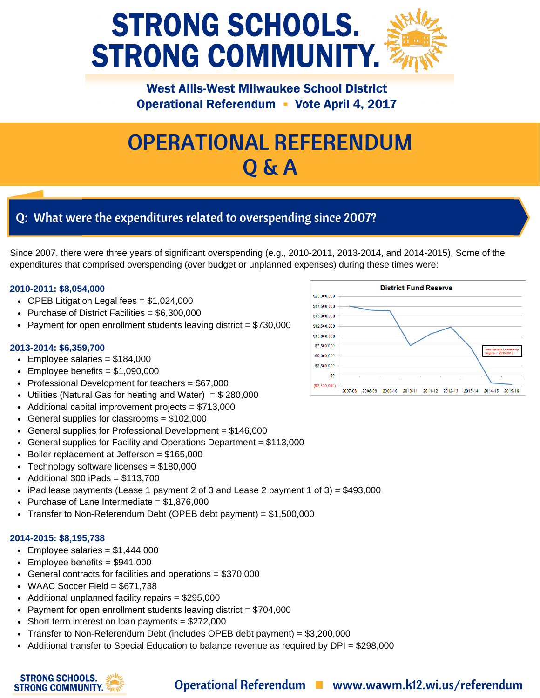

### **West Allis-West Milwaukee School District Operational Referendum • Vote April 4, 2017**

# OPERATIONAL REFERENDUM Q & A

# Q: What were the expenditures related to overspending since 2007?

Since 2007, there were three years of significant overspending (e.g., 2010-2011, 2013-2014, and 2014-2015). Some of the expenditures that comprised overspending (over budget or unplanned expenses) during these times were:

#### **2010-2011: \$8,054,000**

- OPEB Litigation Legal fees  $= $1,024,000$
- Purchase of District Facilities =  $$6,300,000$
- Payment for open enrollment students leaving district  $= $730,000$

#### **2013-2014: \$6,359,700**

- $\textdegree$  Employee salaries = \$184,000
- $\textdegree$  Employee benefits = \$1,090,000
- Professional Development for teachers  $= $67,000$
- Utilities (Natural Gas for heating and Water) =  $$280,000$
- $\bullet$  Additional capital improvement projects = \$713,000
- General supplies for classrooms = \$102,000
- General supplies for Professional Development = \$146,000
- General supplies for Facility and Operations Department = \$113,000
- $\bullet$  Boiler replacement at Jefferson = \$165,000
- Technology software licenses = \$180,000
- $\bullet$  Additional 300 iPads = \$113,700
- $\bullet$  iPad lease payments (Lease 1 payment 2 of 3 and Lease 2 payment 1 of 3) = \$493,000
- Purchase of Lane Intermediate  $= $1,876,000$
- Transfer to Non-Referendum Debt (OPEB debt payment) = \$1,500,000

#### **2014-2015: \$8,195,738**

**STRONG SCHOOLS. STRONG COMMUNITY.** 

- Employee salaries =  $$1,444,000$
- Employee benefits = \$941,000
- General contracts for facilities and operations = \$370,000
- $\bullet$  WAAC Soccer Field = \$671,738
- Additional unplanned facility repairs = \$295,000
- Payment for open enrollment students leaving district  $= $704,000$
- $\bullet$  Short term interest on loan payments = \$272,000
- Transfer to Non-Referendum Debt (includes OPEB debt payment) = \$3,200,000
- Additional transfer to Special Education to balance revenue as required by DPI = \$298,000



## Operational Referendum Www.wawm.k12.wi.us/referendum